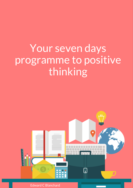# Your seven days programme to positive thinking



Edward C Blanchard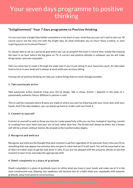## Your seven days programme to positive thinking

### "Enlightenment" Your 7 days programme to Positive thinking

I'm sure you have a bright idea hidden somewhere in the back of your mind that you just can't wait to test out. Of course you're not the only one with the bright idea. So what motivates you to churn those creative, or even inspiring juices to its utmost flavour?

It's always best to set up a personal goal where you can accomplish the most in record time, maybe like mowing the lawn in an hour before the big game on TV. A correct and positive attitude in whatever you do will make things easier, and even enjoyable.

Here are some tips to make it through the week even if you're just sitting in your favourite couch. An idea takes time to form in your head and is always at work while you are busy sitting.

Having a bit of positive thinking can help you realise things that are never thought possible.

#### 1. Take passionate action

Take passionate action towards living your life by design. Talk is cheap. Action = deposits in the bank of a passionately authentic future. Without it, passion is void.

This is a perfect example where dreams are made of where you start by tinkering with your mind, then with your hands. And if the idea weakens, you can always go back to it later until you finish it.

#### 2. Commit to yourself

Commit to yourself as well as those you love to create powerfully a life you can love. Instead of reacting, commit to creating from your heart and soul, out of love rather than fear. The Dream will always be there, but a dream will still be a dream without motion. Be amazed as the transformation begins.

#### 3. Recognise and embrace

Recognise and embrace the thought that each moment is perfect regardless of its outcome. Every time you hit on something that may appear too extreme, why not give it a shot and see if it will work. You will be surprised to see of there are other ways to get the task done in time. If you are not pleased with the outcome, decide to use that moment to learn from and make the appropriate shift.

#### 4. Dwell completely in a place of gratitude

Dwell completely in a place of gratitude Learn to utilise what you have in your hands and make use of it in the most constructive way. Slipping into neediness will become less of a habit when you repeatedly shift towards gratitude, away from poverty consciousness.